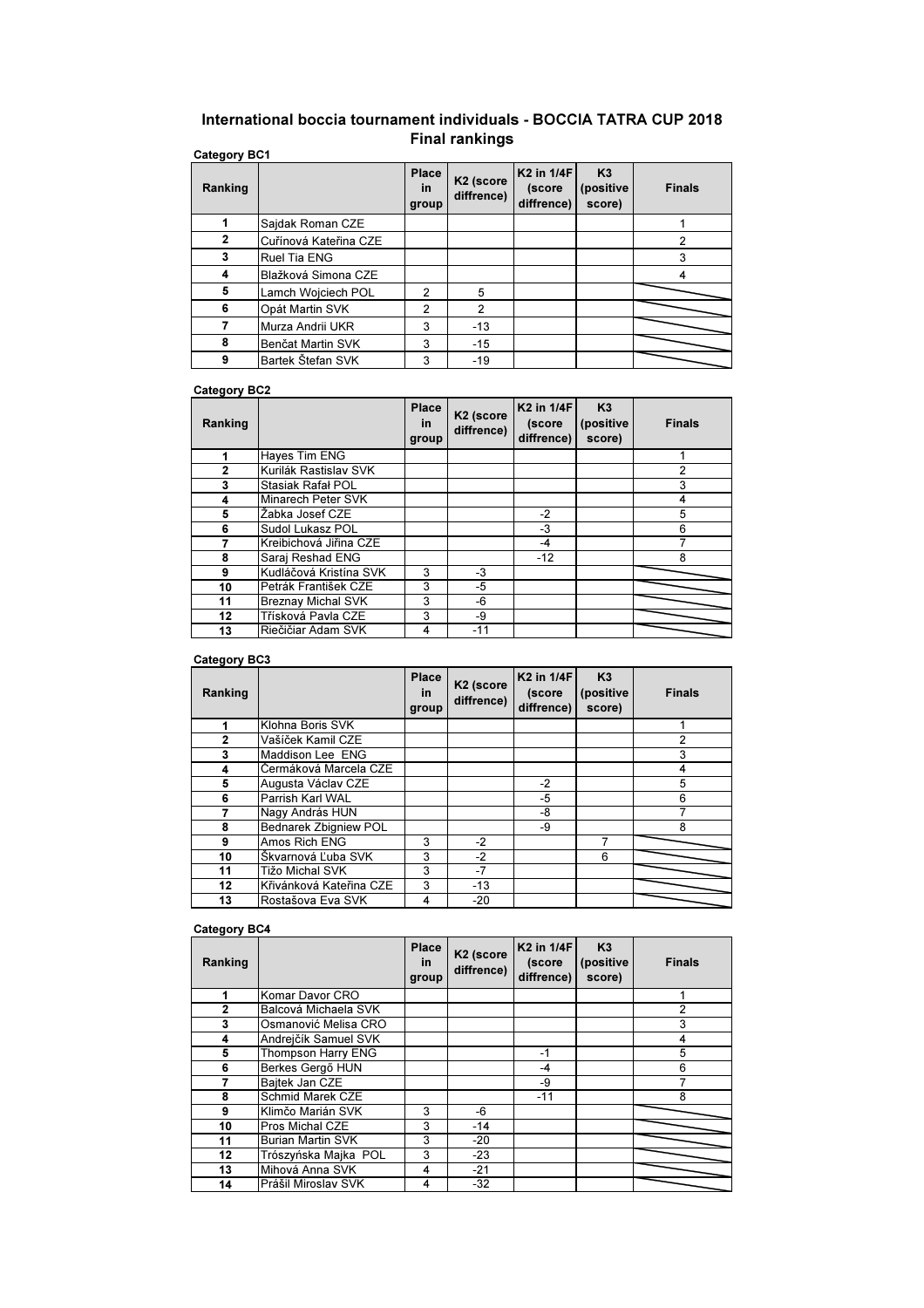## Category BC1 International boccia tournament individuals - BOCCIA TATRA CUP 2018 Final rankings

| Ranking      |                       | <b>Place</b><br>in<br>group | K <sub>2</sub> (score<br>diffrence) | K <sub>2</sub> in 1/4F<br>(score<br>diffrence) | K3<br>(positive<br>score) | <b>Finals</b>  |
|--------------|-----------------------|-----------------------------|-------------------------------------|------------------------------------------------|---------------------------|----------------|
|              | Sajdak Roman CZE      |                             |                                     |                                                |                           |                |
| $\mathbf{2}$ | Cuřínová Kateřina CZE |                             |                                     |                                                |                           | $\overline{2}$ |
| 3            | <b>Ruel Tia ENG</b>   |                             |                                     |                                                |                           | 3              |
| 4            | Blažková Simona CZE   |                             |                                     |                                                |                           | 4              |
| 5            | Lamch Wojciech POL    | $\overline{2}$              | 5                                   |                                                |                           |                |
| 6            | Opát Martin SVK       | $\overline{2}$              | $\overline{2}$                      |                                                |                           |                |
|              | Murza Andrii UKR      | 3                           | $-13$                               |                                                |                           |                |
| 8            | Benčat Martin SVK     | 3                           | $-15$                               |                                                |                           |                |
| 9            | Bartek Štefan SVK     | 3                           | $-19$                               |                                                |                           |                |

## Category BC2

| Ranking      |                           | <b>Place</b><br><b>in</b><br>group | K <sub>2</sub> (score<br>diffrence) | K <sub>2</sub> in 1/4F<br>(score<br>diffrence) | K <sub>3</sub><br>(positive<br>score) | <b>Finals</b> |
|--------------|---------------------------|------------------------------------|-------------------------------------|------------------------------------------------|---------------------------------------|---------------|
| 1            | <b>Haves Tim ENG</b>      |                                    |                                     |                                                |                                       |               |
| $\mathbf{2}$ | Kurilák Rastislav SVK     |                                    |                                     |                                                |                                       | 2             |
| 3            | Stasiak Rafał POL         |                                    |                                     |                                                |                                       | 3             |
| 4            | Minarech Peter SVK        |                                    |                                     |                                                |                                       | 4             |
| 5            | Žabka Josef CZE           |                                    |                                     | $-2$                                           |                                       | 5             |
| 6            | Sudol Lukasz POL          |                                    |                                     | $-3$                                           |                                       | 6             |
|              | Kreibichová Jiřina CZE    |                                    |                                     | -4                                             |                                       |               |
| 8            | Saraj Reshad ENG          |                                    |                                     | $-12$                                          |                                       | 8             |
| 9            | Kudláčová Kristína SVK    | 3                                  | -3                                  |                                                |                                       |               |
| 10           | Petrák František CZE      | 3                                  | -5                                  |                                                |                                       |               |
| 11           | <b>Breznay Michal SVK</b> | 3                                  | -6                                  |                                                |                                       |               |
| 12           | Třísková Pavla CZE        | 3                                  | -9                                  |                                                |                                       |               |
| 13           | Riečičiar Adam SVK        | 4                                  | $-11$                               |                                                |                                       |               |

## Category BC3

| Ranking |                         | <b>Place</b><br><b>in</b><br>group | K <sub>2</sub> (score<br>diffrence) | K <sub>2</sub> in 1/4F<br>(score<br>diffrence) | K3<br>(positive<br>score) | <b>Finals</b> |
|---------|-------------------------|------------------------------------|-------------------------------------|------------------------------------------------|---------------------------|---------------|
|         | Klohna Boris SVK        |                                    |                                     |                                                |                           |               |
| 2       | Vašíček Kamil CZE       |                                    |                                     |                                                |                           | 2             |
| 3       | Maddison Lee ENG        |                                    |                                     |                                                |                           | 3             |
| 4       | Čermáková Marcela CZE   |                                    |                                     |                                                |                           | 4             |
| 5       | Augusta Václav CZE      |                                    |                                     | $-2$                                           |                           | 5             |
| 6       | Parrish Karl WAL        |                                    |                                     | $-5$                                           |                           | 6             |
|         | Nagy András HUN         |                                    |                                     | -8                                             |                           |               |
| 8       | Bednarek Zbigniew POL   |                                    |                                     | -9                                             |                           | 8             |
| 9       | Amos Rich ENG           | 3                                  | $-2$                                |                                                |                           |               |
| 10      | Škvarnová Ľuba SVK      | 3                                  | $-2$                                |                                                | 6                         |               |
| 11      | Tižo Michal SVK         | 3                                  | $-7$                                |                                                |                           |               |
| 12      | Křivánková Kateřina CZE | 3                                  | $-13$                               |                                                |                           |               |
| 13      | Rostašova Eva SVK       | 4                                  | $-20$                               |                                                |                           |               |

## Category BC4

| Ranking      |                           | <b>Place</b><br><b>in</b><br>group | K <sub>2</sub> (score<br>diffrence) | K2 in 1/4F<br>(score<br>diffrence) | K3<br>(positive<br>score) | <b>Finals</b>  |
|--------------|---------------------------|------------------------------------|-------------------------------------|------------------------------------|---------------------------|----------------|
| 1            | Komar Davor CRO           |                                    |                                     |                                    |                           |                |
| $\mathbf{2}$ | Balcová Michaela SVK      |                                    |                                     |                                    |                           | $\overline{2}$ |
| 3            | Osmanović Melisa CRO      |                                    |                                     |                                    |                           | 3              |
| 4            | Andrejčík Samuel SVK      |                                    |                                     |                                    |                           | 4              |
| 5            | <b>Thompson Harry ENG</b> |                                    |                                     | $-1$                               |                           | 5              |
| 6            | Berkes Gergő HUN          |                                    |                                     | $-4$                               |                           | 6              |
| 7            | Bajtek Jan CZE            |                                    |                                     | -9                                 |                           |                |
| 8            | Schmid Marek CZE          |                                    |                                     | $-11$                              |                           | 8              |
| 9            | Klimčo Marián SVK         | 3                                  | -6                                  |                                    |                           |                |
| 10           | Pros Michal CZE           | 3                                  | $-14$                               |                                    |                           |                |
| 11           | <b>Burian Martin SVK</b>  | 3                                  | $-20$                               |                                    |                           |                |
| 12           | Trószyńska Majka POL      | 3                                  | $-23$                               |                                    |                           |                |
| 13           | Mihová Anna SVK           | 4                                  | $-21$                               |                                    |                           |                |
| 14           | Prášil Miroslav SVK       | 4                                  | $-32$                               |                                    |                           |                |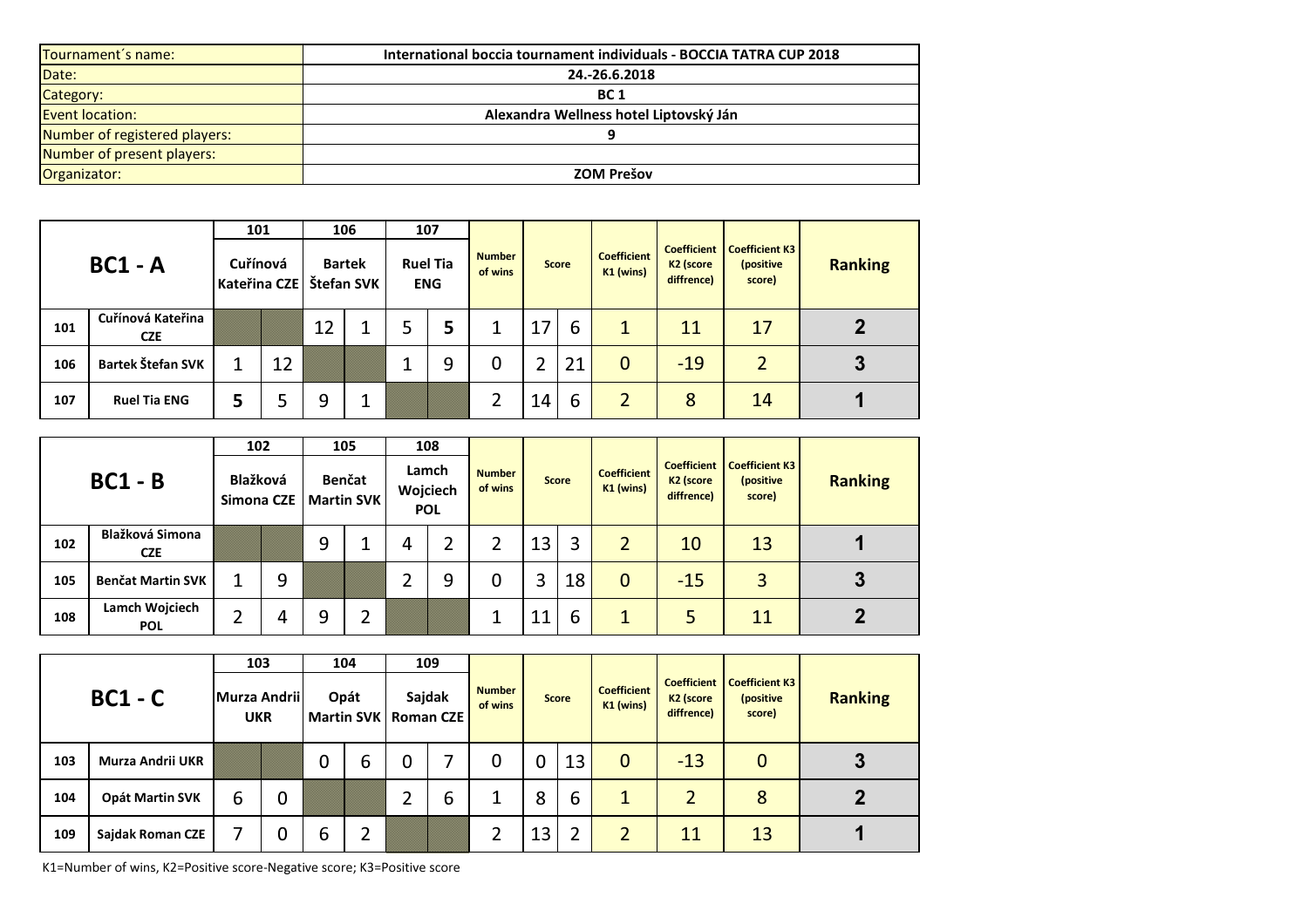| Tournament's name:            | International boccia tournament individuals - BOCCIA TATRA CUP 2018 |
|-------------------------------|---------------------------------------------------------------------|
| Date:                         | 24.-26.6.2018                                                       |
| Category:                     | <b>BC 1</b>                                                         |
| <b>Event location:</b>        | Alexandra Wellness hotel Liptovský Ján                              |
| Number of registered players: |                                                                     |
| Number of present players:    |                                                                     |
| Organizator:                  | <b>ZOM Prešov</b>                                                   |

| $BC1 - A$ |                                 | 101                      |    |                             | 106 |                               | 107 |                          |    |              |                                   |                                                           |                                              |                |
|-----------|---------------------------------|--------------------------|----|-----------------------------|-----|-------------------------------|-----|--------------------------|----|--------------|-----------------------------------|-----------------------------------------------------------|----------------------------------------------|----------------|
|           |                                 | Cuřínová<br>Kateřina CZE |    | <b>Bartek</b><br>Štefan SVK |     | <b>Ruel Tia</b><br><b>ENG</b> |     | <b>Number</b><br>of wins |    | <b>Score</b> | <b>Coefficient</b><br>$K1$ (wins) | <b>Coefficient</b><br>K <sub>2</sub> (score<br>diffrence) | <b>Coefficient K3</b><br>(positive<br>score) | <b>Ranking</b> |
| 101       | Cuřínová Kateřina<br><b>CZE</b> |                          |    | 12                          |     |                               | 5   |                          | 17 | 6            | 1                                 | 11                                                        | 17                                           |                |
| 106       | Bartek Štefan SVK               |                          | 12 |                             |     |                               | 9   |                          |    | 21           | $\mathbf 0$                       | $-19$                                                     | $\overline{2}$                               | 3              |
| 107       | <b>Ruel Tia ENG</b>             |                          | 5  | 9                           |     |                               |     |                          | 14 | 6            | $\overline{2}$                    | 8                                                         | 14                                           |                |

|                                     |                              | 102                    |   |                                    | 105 |                                 | 108 |                          |    |              |                                   |                                                           |                                              |                |
|-------------------------------------|------------------------------|------------------------|---|------------------------------------|-----|---------------------------------|-----|--------------------------|----|--------------|-----------------------------------|-----------------------------------------------------------|----------------------------------------------|----------------|
| $BC1 - B$<br><b>Blažková Simona</b> |                              | Blažková<br>Simona CZE |   | <b>Benčat</b><br><b>Martin SVK</b> |     | Lamch<br>Wojciech<br><b>POL</b> |     | <b>Number</b><br>of wins |    | <b>Score</b> | <b>Coefficient</b><br>$K1$ (wins) | <b>Coefficient</b><br>K <sub>2</sub> (score<br>diffrence) | <b>Coefficient K3</b><br>(positive<br>score) | <b>Ranking</b> |
| 102                                 | <b>CZE</b>                   |                        |   | 9                                  |     | 4                               |     |                          | 13 | 3            | $\overline{2}$                    | 10                                                        | 13                                           |                |
| 105                                 | <b>Benčat Martin SVK</b>     |                        | 9 |                                    |     |                                 | 9   | 0                        | 3  | 18           | $\mathbf 0$                       | $-15$                                                     | 3                                            | 3              |
| 108                                 | Lamch Wojciech<br><b>POL</b> |                        | 4 | 9                                  |     |                                 |     |                          | 1  | ь            |                                   | 5                                                         | 11                                           |                |

|     | $BC1 - C$               | 103<br>Murza Andrii<br><b>UKR</b> |   | 104<br>Opát |   | 109<br>Sajdak<br>Martin SVK   Roman CZE |   | <b>Number</b><br>of wins |    | <b>Score</b> | <b>Coefficient</b><br>K1 (wins) | <b>Coefficient</b><br>K <sub>2</sub> (score<br>diffrence) | <b>Coefficient K3</b><br>(positive<br>score) | <b>Ranking</b> |
|-----|-------------------------|-----------------------------------|---|-------------|---|-----------------------------------------|---|--------------------------|----|--------------|---------------------------------|-----------------------------------------------------------|----------------------------------------------|----------------|
| 103 | <b>Murza Andrii UKR</b> |                                   |   | 0           | 6 |                                         |   | 0                        | 0  | 13           | $\mathbf 0$                     | $-13$                                                     | $\mathbf 0$                                  | 3              |
| 104 | <b>Opát Martin SVK</b>  | 6                                 | 0 |             |   |                                         | 6 |                          | 8  | 6            | 1                               | $\overline{2}$                                            | 8                                            |                |
| 109 | Sajdak Roman CZE        |                                   | 0 | 6           |   |                                         |   |                          | 13 | ົ            | $\overline{2}$                  | 11                                                        | 13                                           |                |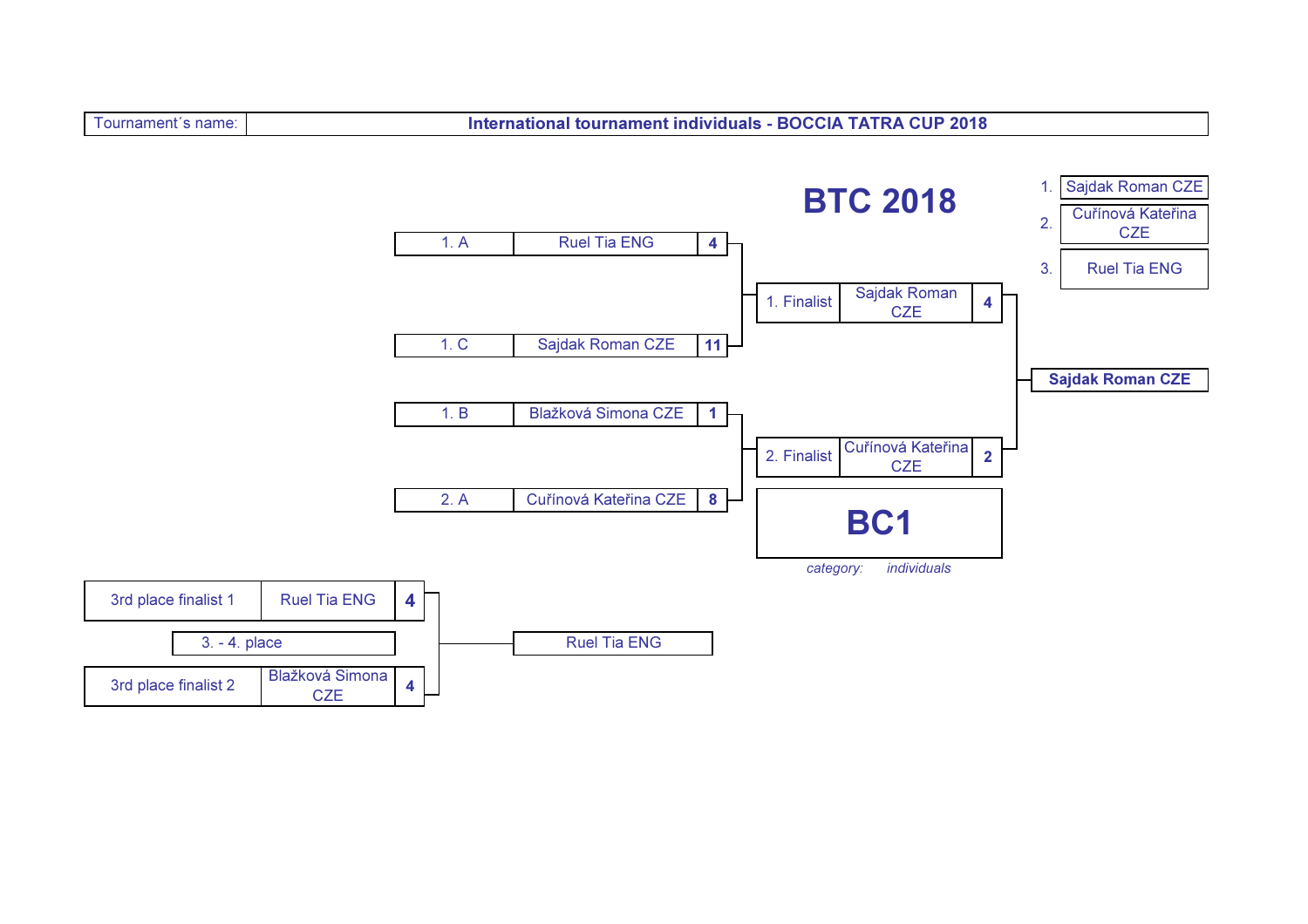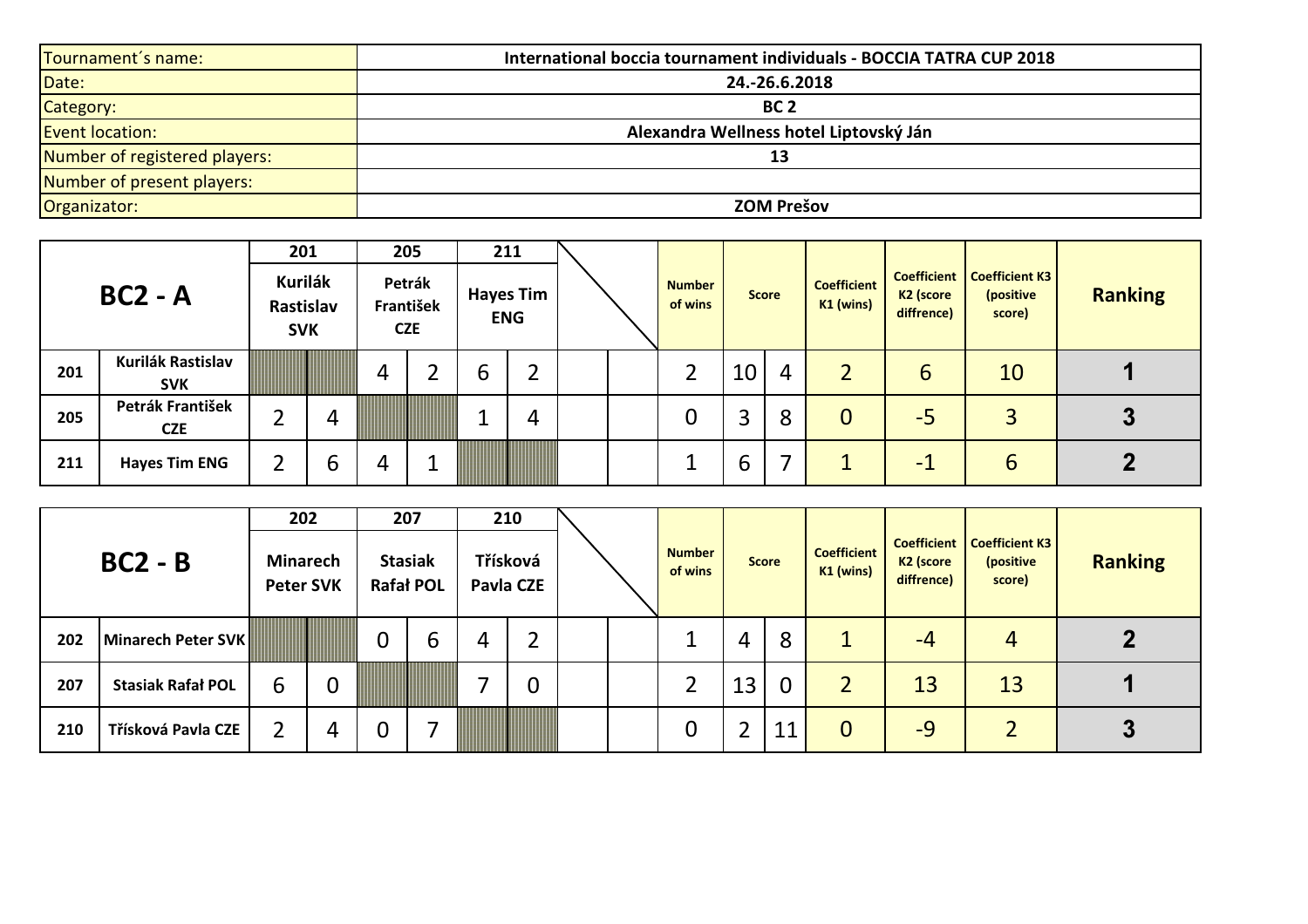| Tournament's name:            | International boccia tournament individuals - BOCCIA TATRA CUP 2018 |
|-------------------------------|---------------------------------------------------------------------|
| Date:                         | 24.-26.6.2018                                                       |
| Category:                     | BC <sub>2</sub>                                                     |
| <b>Event location:</b>        | Alexandra Wellness hotel Liptovský Ján                              |
| Number of registered players: | 13                                                                  |
| Number of present players:    |                                                                     |
| Organizator:                  | <b>ZOM Prešov</b>                                                   |

|                                |                                | 201                                |   |                                   | 205 |                                | 211 |  |  |                          |    |              |                                 |                                     |                                                            |                |  |
|--------------------------------|--------------------------------|------------------------------------|---|-----------------------------------|-----|--------------------------------|-----|--|--|--------------------------|----|--------------|---------------------------------|-------------------------------------|------------------------------------------------------------|----------------|--|
| $BC2 - A$<br>Kurilák Rastislav |                                | Kurilák<br>Rastislav<br><b>SVK</b> |   | Petrák<br>František<br><b>CZE</b> |     | <b>Hayes Tim</b><br><b>ENG</b> |     |  |  | <b>Number</b><br>of wins |    | <b>Score</b> | <b>Coefficient</b><br>K1 (wins) | K <sub>2</sub> (score<br>diffrence) | <b>Coefficient   Coefficient K3</b><br>(positive<br>score) | <b>Ranking</b> |  |
| 201                            | <b>SVK</b>                     |                                    |   | 4                                 |     | 6                              | ີ   |  |  |                          | 10 | 4            |                                 | 6                                   | 10                                                         |                |  |
| 205                            | Petrák František<br><b>CZE</b> |                                    | 4 |                                   |     | ᅩ                              | 4   |  |  |                          | 3  | 8            | $\overline{0}$                  | $-5$                                | 3                                                          | J              |  |
| 211                            | <b>Hayes Tim ENG</b>           |                                    | b | 4                                 |     |                                |     |  |  |                          | 6  |              | ◢                               | $\blacksquare$                      | 6                                                          |                |  |

| $BC2 - B$ |                          | 202<br><b>Minarech</b><br><b>Peter SVK</b> |             | 207<br><b>Stasiak</b><br><b>Rafał POL</b> |   | 210<br>Třísková<br>Pavla CZE |                |  | <b>Number</b><br>of wins | <b>Score</b> |             | <b>Coefficient</b><br>K1 (wins) | K <sub>2</sub> (score<br>diffrence) | <b>Coefficient   Coefficient K3</b><br>(positive<br>score) | <b>Ranking</b> |
|-----------|--------------------------|--------------------------------------------|-------------|-------------------------------------------|---|------------------------------|----------------|--|--------------------------|--------------|-------------|---------------------------------|-------------------------------------|------------------------------------------------------------|----------------|
|           |                          |                                            |             |                                           |   |                              |                |  |                          |              |             |                                 |                                     |                                                            |                |
| 202       | Minarech Peter SVK       |                                            |             | 0                                         | ь | 4                            | $\overline{2}$ |  |                          | 4            | 8           |                                 | $-4$                                | 4                                                          |                |
| 207       | <b>Stasiak Rafał POL</b> | 6                                          | $\mathbf 0$ |                                           |   |                              | $\mathbf 0$    |  |                          | 13           | $\mathbf 0$ | $\overline{2}$                  | 13                                  | 13                                                         |                |
| 210       | Třísková Pavla CZE       |                                            | 4           | U                                         |   |                              |                |  | 0                        |              | 11          | $\overline{0}$                  | $-9$                                | ำ                                                          | 3              |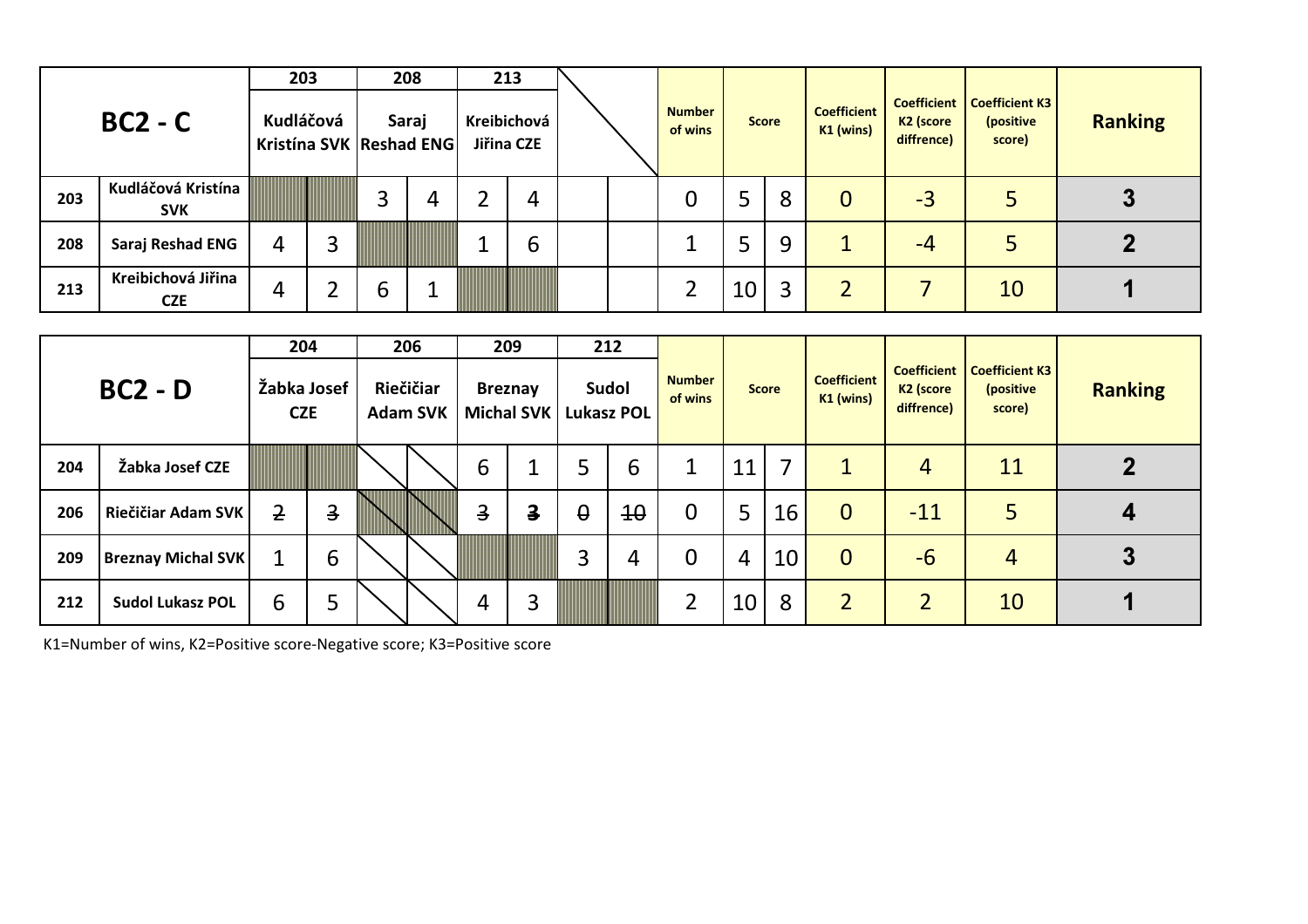| $BC2 - C$ |                                  | 203       |                                  | 208 |                           | 213 |  |                          |              |   |                                 |                                     |                                                            |                |
|-----------|----------------------------------|-----------|----------------------------------|-----|---------------------------|-----|--|--------------------------|--------------|---|---------------------------------|-------------------------------------|------------------------------------------------------------|----------------|
|           |                                  | Kudláčová | Saraj<br>Kristína SVK Reshad ENG |     | Kreibichová<br>Jiřina CZE |     |  | <b>Number</b><br>of wins | <b>Score</b> |   | <b>Coefficient</b><br>K1 (wins) | K <sub>2</sub> (score<br>diffrence) | <b>Coefficient   Coefficient K3</b><br>(positive<br>score) | <b>Ranking</b> |
| 203       | Kudláčová Kristína<br><b>SVK</b> |           | 3                                |     | ⌒                         | 4   |  |                          |              | 8 | 0                               | $-3$                                |                                                            |                |
| 208       | Saraj Reshad ENG                 | 4         |                                  |     |                           | b   |  |                          | ↳            | 9 |                                 | $-4$                                | 5                                                          |                |
| 213       | Kreibichová Jiřina<br><b>CZE</b> | 4         | b                                |     |                           |     |  |                          | 10           | 3 | $\overline{2}$                  |                                     | 10                                                         |                |

|     |                           | 204                       |                | 206                          |                         | 209                     |                   | 212             |                          |    |              |                                 |                                     |                                                            |                |
|-----|---------------------------|---------------------------|----------------|------------------------------|-------------------------|-------------------------|-------------------|-----------------|--------------------------|----|--------------|---------------------------------|-------------------------------------|------------------------------------------------------------|----------------|
|     | $BC2 - D$                 | Žabka Josef<br><b>CZE</b> |                | Riečičiar<br><b>Adam SVK</b> | <b>Breznay</b>          | Michal SVK              | <b>Lukasz POL</b> | Sudol           | <b>Number</b><br>of wins |    | <b>Score</b> | <b>Coefficient</b><br>K1 (wins) | K <sub>2</sub> (score<br>diffrence) | <b>Coefficient   Coefficient K3</b><br>(positive<br>score) | <b>Ranking</b> |
| 204 | Žabka Josef CZE           |                           |                |                              | 6                       |                         |                   | 6               | ┻                        | 11 | 7            | $\mathbf{1}$                    | $\overline{4}$                      | 11                                                         |                |
| 206 | Riečičiar Adam SVK        | 2                         | $\overline{3}$ |                              | $\overline{\mathbf{3}}$ | $\overline{\mathbf{3}}$ | $\theta$          | $\overline{10}$ | $\mathbf 0$              | 5  | 16           | $\overline{0}$                  | $-11$                               | 5                                                          |                |
| 209 | <b>Breznay Michal SVK</b> |                           | 6              |                              |                         |                         | 3                 | 4               | $\Omega$                 | 4  | 10           | $\overline{0}$                  | $-6$                                | $\overline{4}$                                             | 3              |
| 212 | <b>Sudol Lukasz POL</b>   | 6                         | 5              |                              | 4                       | 3                       |                   |                 | 2                        | 10 | 8            | $\overline{2}$                  | $\overline{2}$                      | 10                                                         |                |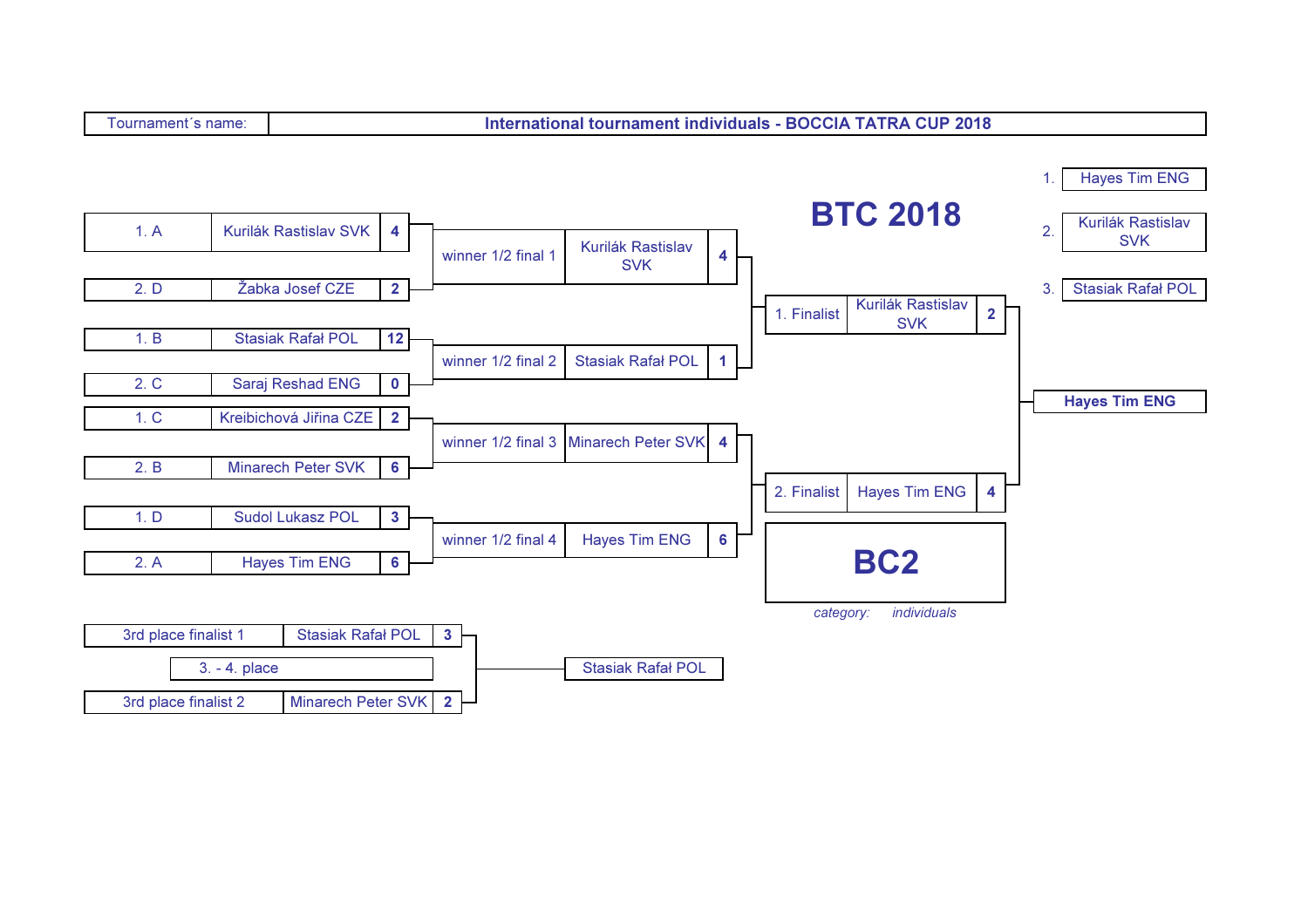International tournament individuals - BOCCIA TATRA CUP 2018

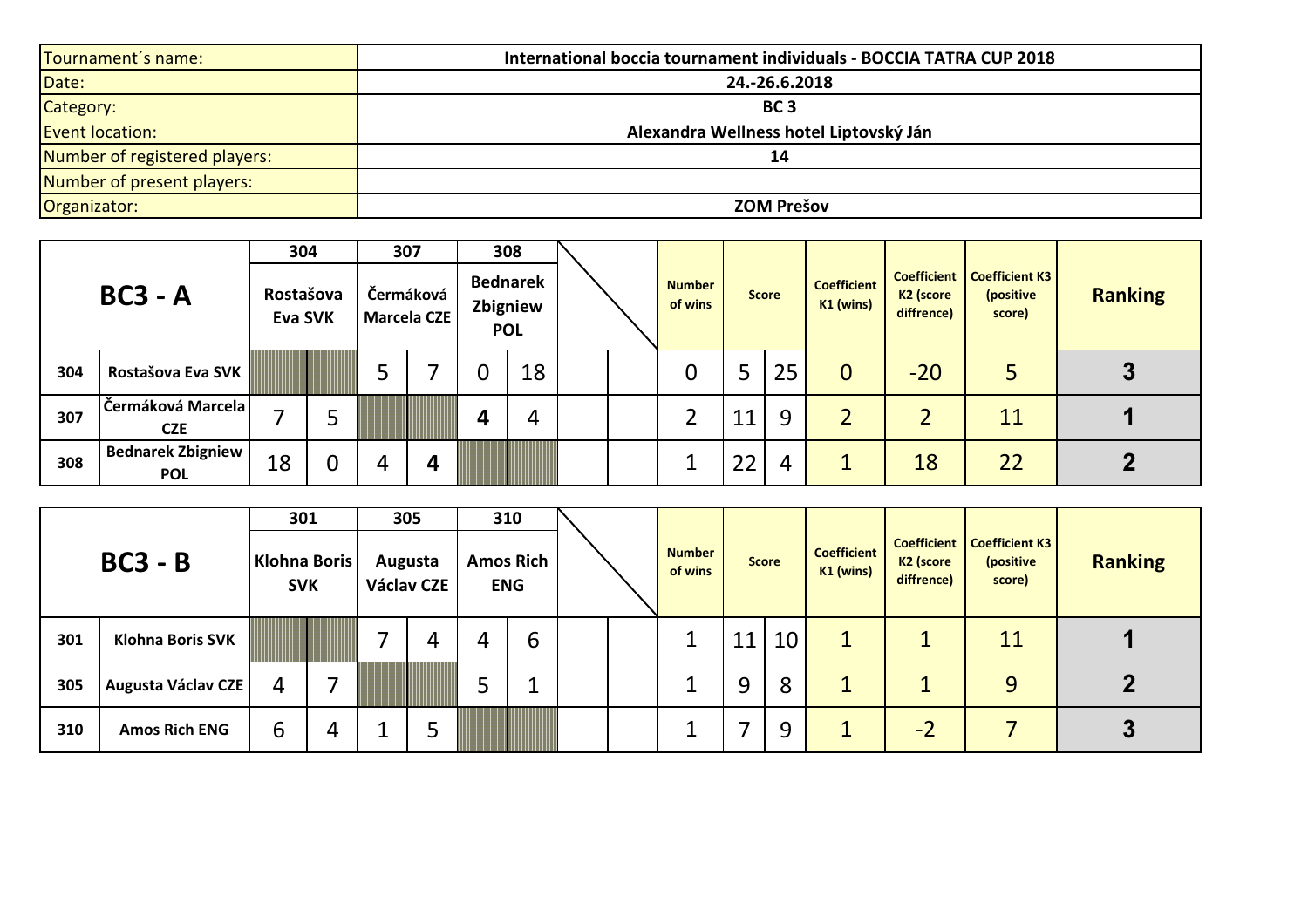| Tournament's name:            | International boccia tournament individuals - BOCCIA TATRA CUP 2018 |
|-------------------------------|---------------------------------------------------------------------|
| Date:                         | 24.-26.6.2018                                                       |
| Category:                     | BC <sub>3</sub>                                                     |
| <b>Event location:</b>        | Alexandra Wellness hotel Liptovský Ján                              |
| Number of registered players: | 14                                                                  |
| Number of present players:    |                                                                     |
| Organizator:                  | <b>ZOM Prešov</b>                                                   |

|     |                                        | 304                         | 307 |                          |   | 308                                       |  |                          |    |              |                                 |                                     |                                                              |                |
|-----|----------------------------------------|-----------------------------|-----|--------------------------|---|-------------------------------------------|--|--------------------------|----|--------------|---------------------------------|-------------------------------------|--------------------------------------------------------------|----------------|
|     | $BC3 - A$                              | Rostašova<br><b>Eva SVK</b> |     | Čermáková<br>Marcela CZE |   | <b>Bednarek</b><br>Zbigniew<br><b>POL</b> |  | <b>Number</b><br>of wins |    | <b>Score</b> | <b>Coefficient</b><br>K1 (wins) | K <sub>2</sub> (score<br>diffrence) | <b>Coefficient   Coefficient K3  </b><br>(positive<br>score) | <b>Ranking</b> |
| 304 | Rostašova Eva SVK                      |                             | כ   |                          | 0 | 18                                        |  |                          | 5  | 25           | $\overline{0}$                  | $-20$                               | 5                                                            |                |
| 307 | Čermáková Marcela<br><b>CZE</b>        |                             |     |                          | 4 | 4                                         |  |                          | 11 | 9            | $\overline{2}$                  |                                     | 11                                                           |                |
| 308 | <b>Bednarek Zbigniew</b><br><b>POL</b> | 18                          | 4   | л                        |   |                                           |  |                          | 22 | 4            |                                 | 18                                  | 22                                                           |                |

|     | $BC3 - B$               | 301<br>Klohna Boris<br><b>SVK</b> |   | 305<br>Augusta<br>Václav CZE |   | 310<br><b>Amos Rich</b><br><b>ENG</b> |  | <b>Number</b><br>of wins |    | <b>Score</b> | <b>Coefficient</b><br>K1 (wins) | K <sub>2</sub> (score<br>diffrence) | <b>Coefficient   Coefficient K3</b><br>(positive<br>score) | <b>Ranking</b> |
|-----|-------------------------|-----------------------------------|---|------------------------------|---|---------------------------------------|--|--------------------------|----|--------------|---------------------------------|-------------------------------------|------------------------------------------------------------|----------------|
| 301 | <b>Klohna Boris SVK</b> |                                   |   | 4                            | 4 | b                                     |  |                          | 11 | 10           | $\mathbf{1}$                    |                                     | 11                                                         |                |
| 305 | Augusta Václav CZE      | 4                                 | ⇁ |                              | 5 | ◢                                     |  |                          | 9  | 8            | $\mathbf{1}$                    |                                     | 9                                                          |                |
| 310 | <b>Amos Rich ENG</b>    | 6                                 | 4 |                              |   |                                       |  |                          |    | 9            | 1                               | $-2$                                |                                                            | 3              |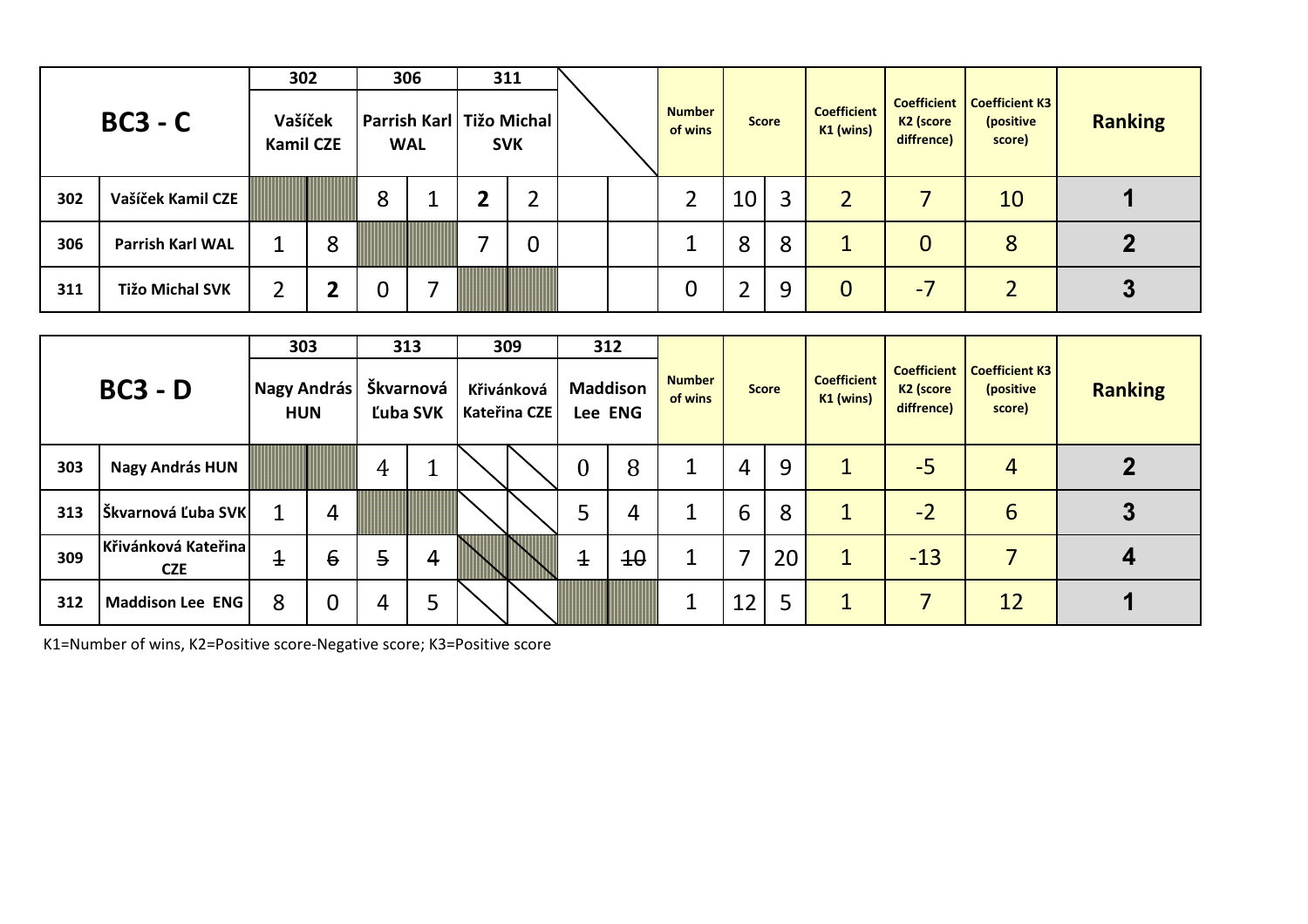|     |                         | 302                         |   |   | 306        |                            | 311            |  |                          |              |   |                                 |                                     |                                                            |                |
|-----|-------------------------|-----------------------------|---|---|------------|----------------------------|----------------|--|--------------------------|--------------|---|---------------------------------|-------------------------------------|------------------------------------------------------------|----------------|
|     | $BC3 - C$               | Vašíček<br><b>Kamil CZE</b> |   |   | <b>WAL</b> | Parrish Karl   Tižo Michal | <b>SVK</b>     |  | <b>Number</b><br>of wins | <b>Score</b> |   | <b>Coefficient</b><br>K1 (wins) | K <sub>2</sub> (score<br>diffrence) | <b>Coefficient   Coefficient K3</b><br>(positive<br>score) | <b>Ranking</b> |
| 302 | Vašíček Kamil CZE       |                             |   | 8 |            | $\overline{\mathbf{2}}$    |                |  |                          | 10           | 3 | $\overline{2}$                  |                                     | 10                                                         |                |
| 306 | <b>Parrish Karl WAL</b> |                             | 8 |   |            |                            | $\overline{0}$ |  |                          | 8            | 8 | 1                               | 0                                   | 8                                                          |                |
| 311 | <b>Tižo Michal SVK</b>  | 2                           |   | 0 |            |                            |                |  | 0                        | 2            | 9 | $\overline{0}$                  | $-1$                                |                                                            |                |

|     |                                   | 303                       |                 |                | 313      | 309                        |       | 312                        |                          |    |              |                                 |                                                           |                                              |                |
|-----|-----------------------------------|---------------------------|-----------------|----------------|----------|----------------------------|-------|----------------------------|--------------------------|----|--------------|---------------------------------|-----------------------------------------------------------|----------------------------------------------|----------------|
|     | $BC3 - D$                         | Nagy András<br><b>HUN</b> |                 | Škvarnová      | Ľuba SVK | Křivánková<br>Kateřina CZE |       | <b>Maddison</b><br>Lee ENG | <b>Number</b><br>of wins |    | <b>Score</b> | <b>Coefficient</b><br>K1 (wins) | <b>Coefficient</b><br>K <sub>2</sub> (score<br>diffrence) | <b>Coefficient K3</b><br>(positive<br>score) | <b>Ranking</b> |
| 303 | <b>Nagy András HUN</b>            |                           |                 | 4              |          |                            | 0     | 8                          |                          | 4  | 9            | 1                               | $-5$                                                      | 4                                            |                |
| 313 | Škvarnová Ľuba SVK                |                           | 4               |                |          |                            |       | 4                          |                          | 6  | 8            | $\mathbf{1}$                    | $-2$                                                      | 6                                            | 3              |
| 309 | Křivánková Kateřina<br><b>CZE</b> | $\overline{1}$            | $6\overline{6}$ | $\overline{5}$ | 4        |                            | $\pm$ | $4\theta$                  | 1                        | 7  | 20           | $1 \nightharpoonup$             | $-13$                                                     | 7                                            |                |
| 312 | Maddison Lee ENG                  | 8                         | $\mathbf 0$     | 4              |          |                            |       |                            |                          | 12 | 5            | $\mathbf{1}$                    |                                                           | 12                                           |                |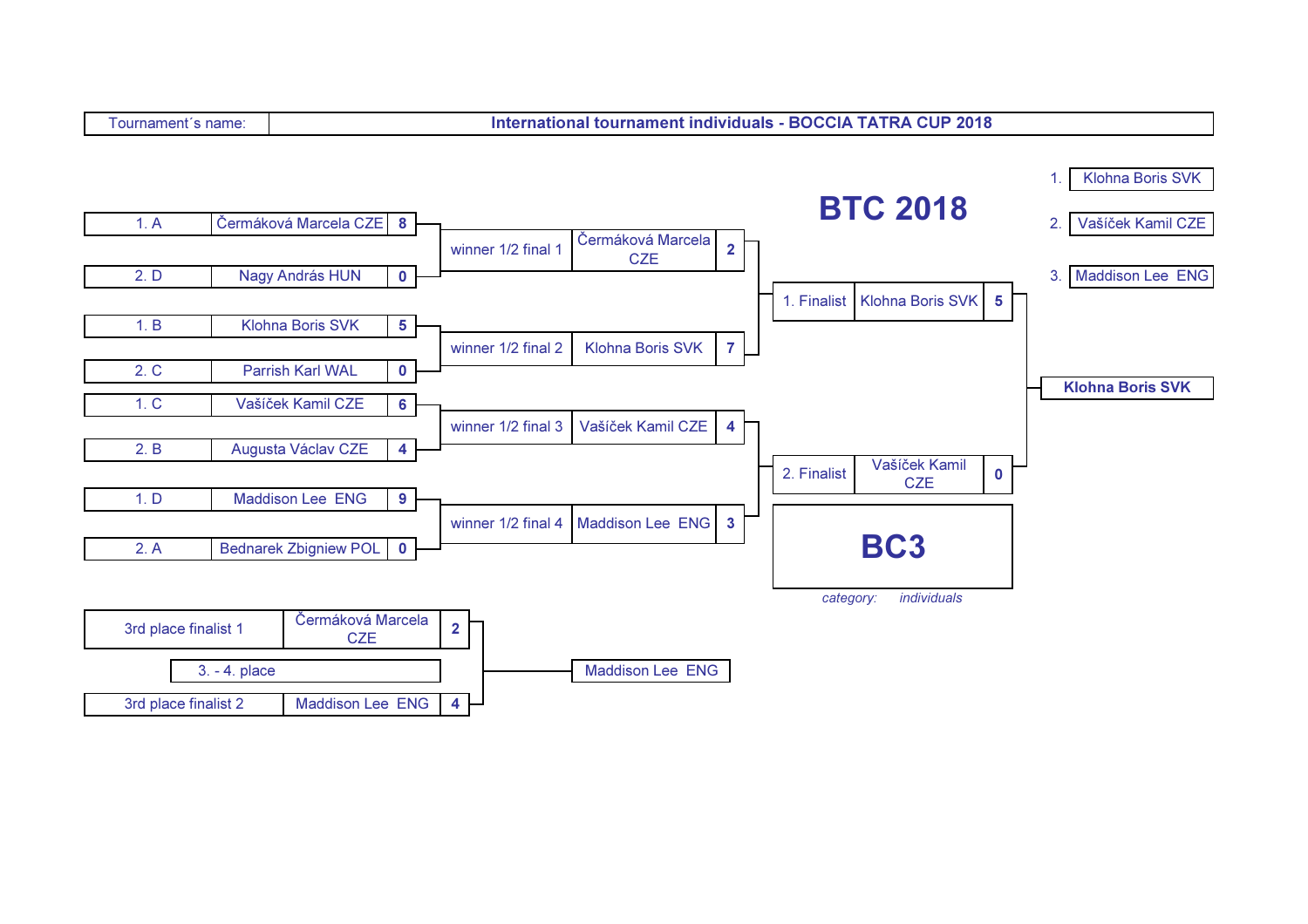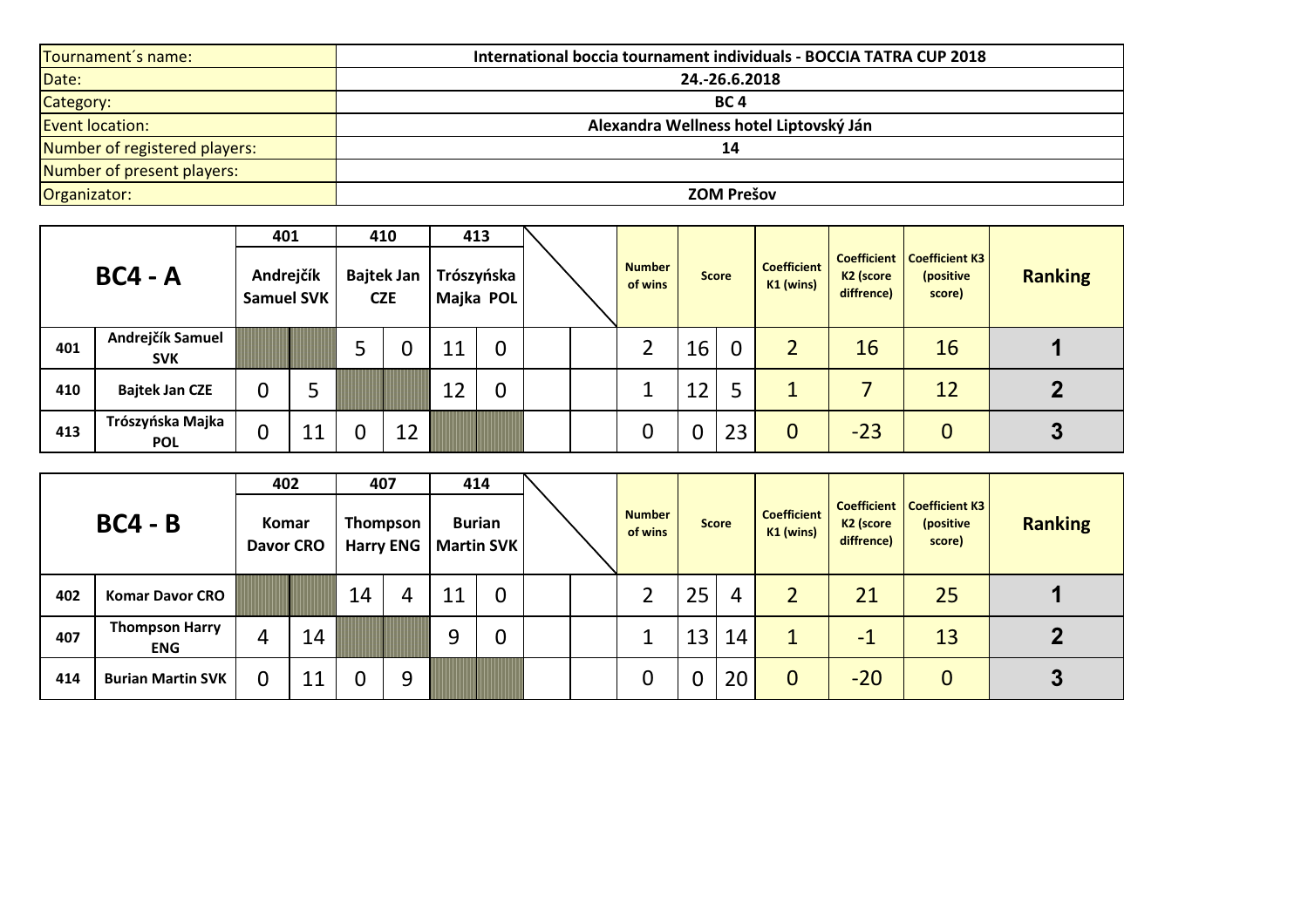| Tournament's name:            | International boccia tournament individuals - BOCCIA TATRA CUP 2018 |
|-------------------------------|---------------------------------------------------------------------|
| Date:                         | 24.-26.6.2018                                                       |
| Category:                     | BC 4                                                                |
| <b>Event location:</b>        | Alexandra Wellness hotel Liptovský Ján                              |
| Number of registered players: | 14                                                                  |
| Number of present players:    |                                                                     |
| Organizator:                  | <b>ZOM Prešov</b>                                                   |

|     |                                | 401                            |    |   | 410                             |    | 413                     |  |                          |              |             |                                 |                                     |                                                            |                |
|-----|--------------------------------|--------------------------------|----|---|---------------------------------|----|-------------------------|--|--------------------------|--------------|-------------|---------------------------------|-------------------------------------|------------------------------------------------------------|----------------|
|     | $BC4 - A$                      | Andrejčík<br><b>Samuel SVK</b> |    |   | <b>Bajtek Jan</b><br><b>CZE</b> |    | Trószyńska<br>Majka POL |  | <b>Number</b><br>of wins | <b>Score</b> |             | <b>Coefficient</b><br>K1 (wins) | K <sub>2</sub> (score<br>diffrence) | <b>Coefficient   Coefficient K3</b><br>(positive<br>score) | <b>Ranking</b> |
| 401 | Andrejčík Samuel<br><b>SVK</b> |                                |    |   |                                 | 11 | $\overline{0}$          |  |                          | 16           | $\mathbf 0$ | $\overline{2}$                  | 16                                  | 16                                                         |                |
| 410 | <b>Bajtek Jan CZE</b>          | 0                              |    |   |                                 | 12 |                         |  |                          | 12           | 5           |                                 |                                     | 12                                                         |                |
| 413 | Trószyńska Majka<br><b>POL</b> | 0                              | 11 | 0 | 12                              |    |                         |  | 0                        | 0            | 23          | $\overline{0}$                  | $-23$                               | 0                                                          |                |

|     |                                     | 402                       |    |    | 407                          |    | 414                                |  |                          |                |              |                                 |                                     |                                                            |                |
|-----|-------------------------------------|---------------------------|----|----|------------------------------|----|------------------------------------|--|--------------------------|----------------|--------------|---------------------------------|-------------------------------------|------------------------------------------------------------|----------------|
|     | $BC4 - B$                           | Komar<br><b>Davor CRO</b> |    |    | Thompson<br><b>Harry ENG</b> |    | <b>Burian</b><br><b>Martin SVK</b> |  | <b>Number</b><br>of wins |                | <b>Score</b> | <b>Coefficient</b><br>K1 (wins) | K <sub>2</sub> (score<br>diffrence) | <b>Coefficient   Coefficient K3</b><br>(positive<br>score) | <b>Ranking</b> |
| 402 | <b>Komar Davor CRO</b>              |                           |    | 14 | Δ                            | 11 | $\overline{0}$                     |  |                          | 25             | 4            |                                 | 21                                  | 25                                                         |                |
| 407 | <b>Thompson Harry</b><br><b>ENG</b> | 4                         | 14 |    |                              | 9  | $\overline{0}$                     |  |                          | 13             | 14           | $\mathbf 1$                     | $\blacksquare$                      | 13                                                         |                |
| 414 | <b>Burian Martin SVK</b>            | 0                         | 11 |    | Q                            |    |                                    |  | 0                        | $\overline{0}$ | 20           | $\mathbf 0$                     | $-20$                               | 0                                                          | 3              |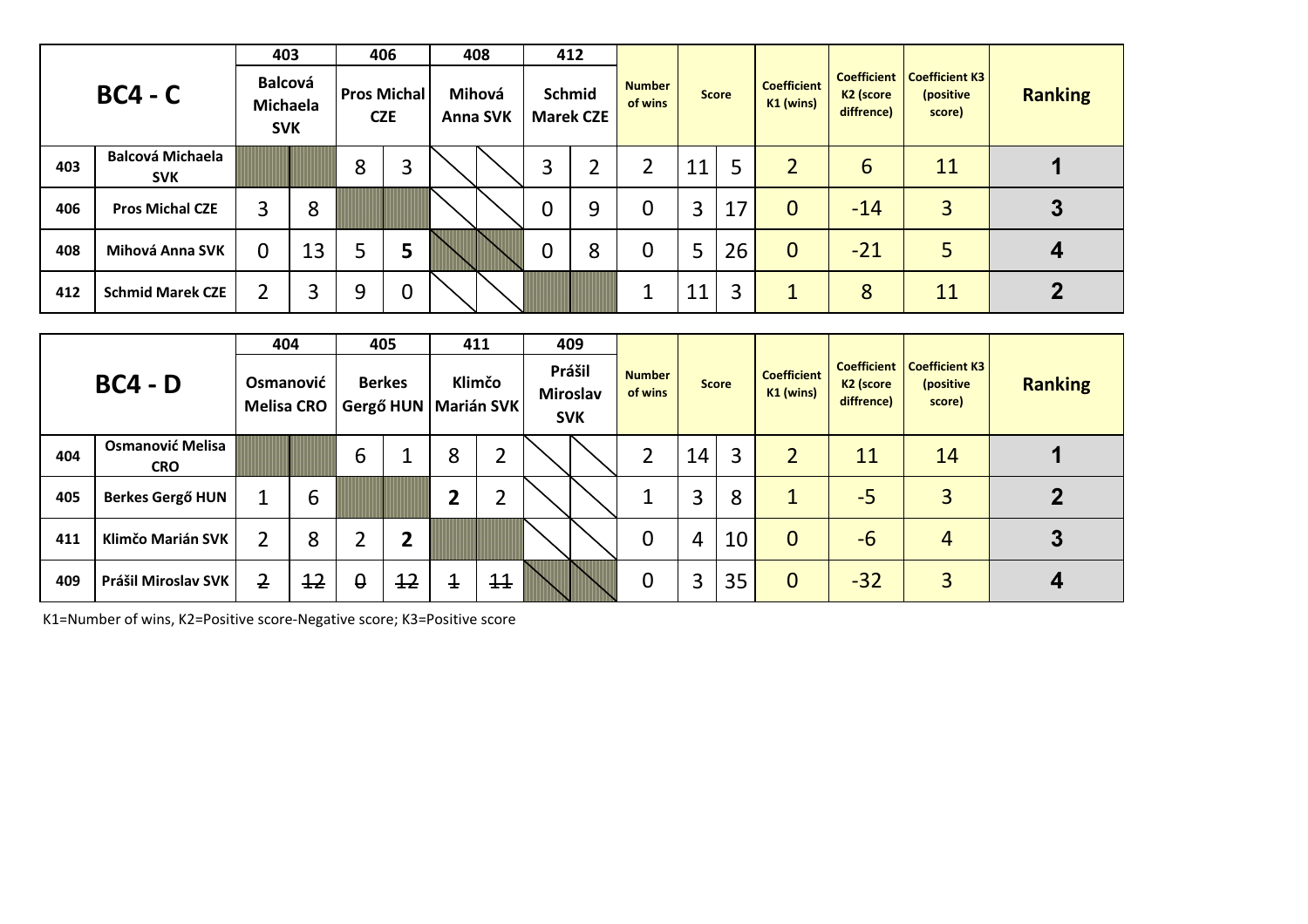|     |                                       | 403                                      |    |   | 406                              | 408                       |   | 412                        |                          |    |              |                                   |                                                           |                                              |                |
|-----|---------------------------------------|------------------------------------------|----|---|----------------------------------|---------------------------|---|----------------------------|--------------------------|----|--------------|-----------------------------------|-----------------------------------------------------------|----------------------------------------------|----------------|
|     | $BC4 - C$                             | <b>Balcová</b><br>Michaela<br><b>SVK</b> |    |   | <b>Pros Michal</b><br><b>CZE</b> | Mihová<br><b>Anna SVK</b> |   | Schmid<br><b>Marek CZE</b> | <b>Number</b><br>of wins |    | <b>Score</b> | <b>Coefficient</b><br>$K1$ (wins) | <b>Coefficient</b><br>K <sub>2</sub> (score<br>diffrence) | <b>Coefficient K3</b><br>(positive<br>score) | <b>Ranking</b> |
| 403 | <b>Balcová Michaela</b><br><b>SVK</b> |                                          |    | 8 | 3                                |                           | 3 | ำ<br>∠                     | າ                        | 11 | 5            | $\overline{2}$                    | 6                                                         | 11                                           |                |
| 406 | <b>Pros Michal CZE</b>                | 3                                        | 8  |   |                                  |                           | 0 | 9                          | 0                        | 3  | 17           | $\mathbf 0$                       | $-14$                                                     | $\overline{3}$                               |                |
| 408 | Mihová Anna SVK                       | 0                                        | 13 | 5 | 5                                |                           | 0 | 8                          | 0                        | 5  | 26           | $\overline{0}$                    | $-21$                                                     | 5                                            |                |
| 412 | <b>Schmid Marek CZE</b>               | 2                                        | 3  | 9 | 0                                |                           |   |                            | л                        | 11 | 3            | $\mathbf{1}$                      | 8                                                         | 11                                           |                |

|     |                                       | 404                            |                 |          | 405           |                        | 411             | 409                                     |                          |                |              |                                                     |                                     |                                                            |                |
|-----|---------------------------------------|--------------------------------|-----------------|----------|---------------|------------------------|-----------------|-----------------------------------------|--------------------------|----------------|--------------|-----------------------------------------------------|-------------------------------------|------------------------------------------------------------|----------------|
|     | $BC4 - D$                             | Osmanović<br><b>Melisa CRO</b> |                 |          | <b>Berkes</b> | Gergő HUN   Marián SVK | Klimčo          | Prášil<br><b>Miroslav</b><br><b>SVK</b> | <b>Number</b><br>of wins |                | <b>Score</b> | <b>Coefficient</b><br>$K1$ (wins)<br>$\overline{2}$ | K <sub>2</sub> (score<br>diffrence) | <b>Coefficient   Coefficient K3</b><br>(positive<br>score) | <b>Ranking</b> |
| 404 | <b>Osmanović Melisa</b><br><b>CRO</b> |                                |                 | 6        |               | 8                      |                 |                                         | 2                        | 14             | 3            |                                                     | 11                                  | 14                                                         |                |
| 405 | <b>Berkes Gergő HUN</b>               |                                | 6               |          |               | $\overline{2}$         |                 |                                         |                          | 3              | 8            | $\mathbf 1$                                         | $-5$                                | 3                                                          |                |
| 411 | Klimčo Marián SVK                     | $\overline{2}$                 | 8               | າ        | 2             |                        |                 |                                         | $\mathbf 0$              | $\overline{4}$ | 10           | $\overline{0}$                                      | $-6$                                | 4                                                          | 3              |
| 409 | Prášil Miroslav SVK                   | $\overline{2}$                 | $\overline{12}$ | $\theta$ | 12            | $\overline{1}$         | $\overline{11}$ |                                         | 0                        | 3              | 35           | $\overline{0}$                                      | $-32$                               | $\overline{3}$                                             |                |